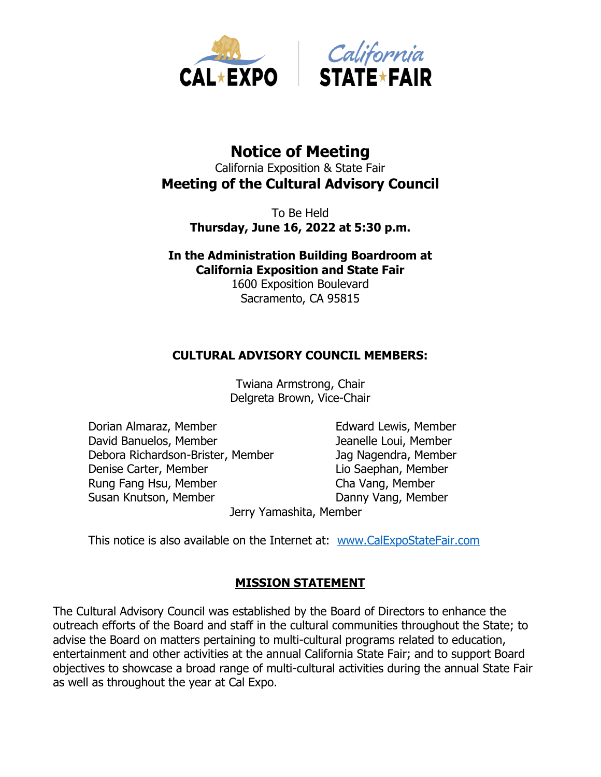



# **Notice of Meeting** California Exposition & State Fair **Meeting of the Cultural Advisory Council**

To Be Held **Thursday, June 16, 2022 at 5:30 p.m.**

**In the Administration Building Boardroom at California Exposition and State Fair** 1600 Exposition Boulevard Sacramento, CA 95815

### **CULTURAL ADVISORY COUNCIL MEMBERS:**

Twiana Armstrong, Chair Delgreta Brown, Vice-Chair

Dorian Almaraz, Member Edward Lewis, Member David Banuelos, Member Jeanelle Loui, Member Debora Richardson-Brister, Member Jag Nagendra, Member Denise Carter, Member **Lio Saephan**, Member Rung Fang Hsu, Member Cha Vang, Member Susan Knutson, Member **Danny Vang, Member** 

Jerry Yamashita, Member

This notice is also available on the Internet at: [www.CalExpoStateFair.com](http://www.calexpostatefair.com/)

### **MISSION STATEMENT**

The Cultural Advisory Council was established by the Board of Directors to enhance the outreach efforts of the Board and staff in the cultural communities throughout the State; to advise the Board on matters pertaining to multi-cultural programs related to education, entertainment and other activities at the annual California State Fair; and to support Board objectives to showcase a broad range of multi-cultural activities during the annual State Fair as well as throughout the year at Cal Expo.